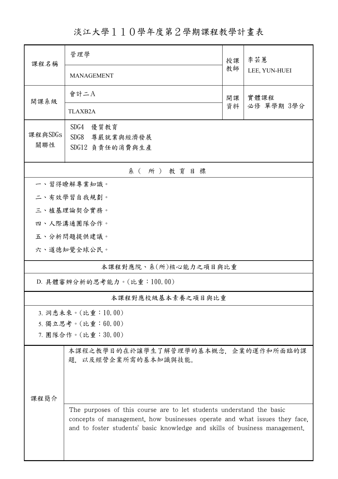淡江大學110學年度第2學期課程教學計畫表

| 課程名稱                       | 管理學<br>授課                                                                                                                                               |          | 李芸蕙           |  |  |  |  |
|----------------------------|---------------------------------------------------------------------------------------------------------------------------------------------------------|----------|---------------|--|--|--|--|
|                            | <b>MANAGEMENT</b>                                                                                                                                       | 教師       | LEE, YUN-HUEI |  |  |  |  |
| 開課系級                       | 會計二A                                                                                                                                                    | 開課<br>資料 | 實體課程          |  |  |  |  |
|                            | <b>TLAXB2A</b>                                                                                                                                          |          | 必修 單學期 3學分    |  |  |  |  |
| 課程與SDGs                    | SDG4<br>優質教育<br>SDG8 尊嚴就業與經濟發展                                                                                                                          |          |               |  |  |  |  |
| 關聯性                        | SDG12 負責任的消費與生產                                                                                                                                         |          |               |  |  |  |  |
| 系(所)教育目標                   |                                                                                                                                                         |          |               |  |  |  |  |
|                            | 一、習得瞭解專業知識。                                                                                                                                             |          |               |  |  |  |  |
|                            | 二、有效學習自我規劃。                                                                                                                                             |          |               |  |  |  |  |
| 三、植基理論契合實務。                |                                                                                                                                                         |          |               |  |  |  |  |
|                            | 四、人際溝通團隊合作。                                                                                                                                             |          |               |  |  |  |  |
|                            | 五、分析問題提供建議。                                                                                                                                             |          |               |  |  |  |  |
|                            | 六、道德知覺全球公民。                                                                                                                                             |          |               |  |  |  |  |
|                            | 本課程對應院、系(所)核心能力之項目與比重                                                                                                                                   |          |               |  |  |  |  |
| D. 具體審辨分析的思考能力。(比重:100.00) |                                                                                                                                                         |          |               |  |  |  |  |
|                            | 本課程對應校級基本素養之項目與比重                                                                                                                                       |          |               |  |  |  |  |
|                            | 3. 洞悉未來。(比重:10.00)                                                                                                                                      |          |               |  |  |  |  |
|                            | 5. 獨立思考。(比重:60.00)                                                                                                                                      |          |               |  |  |  |  |
|                            | 7. 團隊合作。(比重:30.00)                                                                                                                                      |          |               |  |  |  |  |
|                            | 本課程之教學目的在於讓學生了解管理學的基本概念,企業的運作和所面臨的課<br>題. 以及經營企業所需的基本知識與技能。                                                                                             |          |               |  |  |  |  |
| 課程簡介                       |                                                                                                                                                         |          |               |  |  |  |  |
|                            |                                                                                                                                                         |          |               |  |  |  |  |
|                            | The purposes of this course are to let students understand the basic                                                                                    |          |               |  |  |  |  |
|                            | concepts of management, how businesses operate and what issues they face,<br>and to foster students' basic knowledge and skills of business management. |          |               |  |  |  |  |
|                            |                                                                                                                                                         |          |               |  |  |  |  |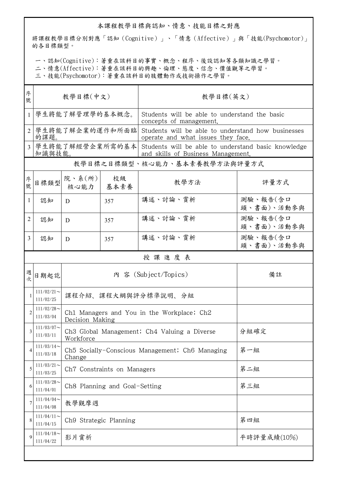## 本課程教學目標與認知、情意、技能目標之對應

將課程教學目標分別對應「認知(Cognitive)」、「情意(Affective)」與「技能(Psychomotor)」 的各目標類型。

一、認知(Cognitive):著重在該科目的事實、概念、程序、後設認知等各類知識之學習。

二、情意(Affective):著重在該科目的興趣、倫理、態度、信念、價值觀等之學習。

三、技能(Psychomotor):著重在該科目的肢體動作或技術操作之學習。

| 序<br>號         | 教學目標(中文)                     |                                                               |            | 教學目標(英文)                                                                                  |                        |  |  |  |  |
|----------------|------------------------------|---------------------------------------------------------------|------------|-------------------------------------------------------------------------------------------|------------------------|--|--|--|--|
| 1              | 學生將能了解管理學的基本概念。              |                                                               |            | Students will be able to understand the basic<br>concepts of management.                  |                        |  |  |  |  |
|                | 學生將能了解企業的運作和所面臨<br>的課題       |                                                               |            | Students will be able to understand how businesses<br>operate and what issues they face.  |                        |  |  |  |  |
| 3              | 學生將能了解經營企業所需的基本<br>知識與技能。    |                                                               |            | Students will be able to understand basic knowledge<br>and skills of Business Management. |                        |  |  |  |  |
|                | 教學目標之目標類型、核心能力、基本素養教學方法與評量方式 |                                                               |            |                                                                                           |                        |  |  |  |  |
| 序號             | 目標類型                         | 院、系 $(\kappa)$<br>核心能力                                        | 校級<br>基本素養 | 教學方法                                                                                      | 評量方式                   |  |  |  |  |
| 1              | 認知                           | D                                                             | 357        | 講述、討論、賞析                                                                                  | 測驗、報告(含口<br>頭、書面)、活動參與 |  |  |  |  |
| 2              | 認知                           | D                                                             | 357        | 講述、討論、賞析                                                                                  | 測驗、報告(含口<br>頭、書面)、活動參與 |  |  |  |  |
| 3              | 認知                           | D                                                             | 357        | 講述、討論、賞析                                                                                  | 測驗、報告(含口<br>頭、書面)、活動參與 |  |  |  |  |
|                | 授課進度表                        |                                                               |            |                                                                                           |                        |  |  |  |  |
| 週<br>次         | 日期起訖                         | 內 容 (Subject/Topics)                                          |            |                                                                                           | 備註                     |  |  |  |  |
|                | $111/02/21$ ~<br>111/02/25   | 課程介紹、課程大綱與評分標準說明、分組                                           |            |                                                                                           |                        |  |  |  |  |
| $\overline{2}$ | $111/02/28$ ~<br>111/03/04   | Ch1 Managers and You in the Workplace; Ch2<br>Decision Making |            |                                                                                           |                        |  |  |  |  |
|                | $111/03/07$ ~<br>111/03/11   | Ch3 Global Management; Ch4 Valuing a Diverse<br>Workforce     |            |                                                                                           | 分組確定                   |  |  |  |  |
| 4              | $111/03/14$ ~<br>111/03/18   | Ch5 Socially-Conscious Management; Ch6 Managing<br>Change     |            |                                                                                           | 第一組                    |  |  |  |  |
| 5              | $111/03/21$ ~<br>111/03/25   | Ch7 Constraints on Managers                                   |            |                                                                                           | 第二組                    |  |  |  |  |
| 6              | $111/03/28$ ~<br>111/04/01   | Ch8 Planning and Goal-Setting                                 |            |                                                                                           | 第三組                    |  |  |  |  |
| 7              | $111/04/04$ ~<br>111/04/08   | 教學觀摩週                                                         |            |                                                                                           |                        |  |  |  |  |
| 8              | $111/04/11$ ~<br>111/04/15   | Ch9 Strategic Planning                                        |            |                                                                                           | 第四組                    |  |  |  |  |
| $\mathbf Q$    | $111/04/18$ ~<br>111/04/22   | 影片賞析                                                          |            |                                                                                           | 平時評量成績(10%)            |  |  |  |  |
|                |                              |                                                               |            |                                                                                           |                        |  |  |  |  |